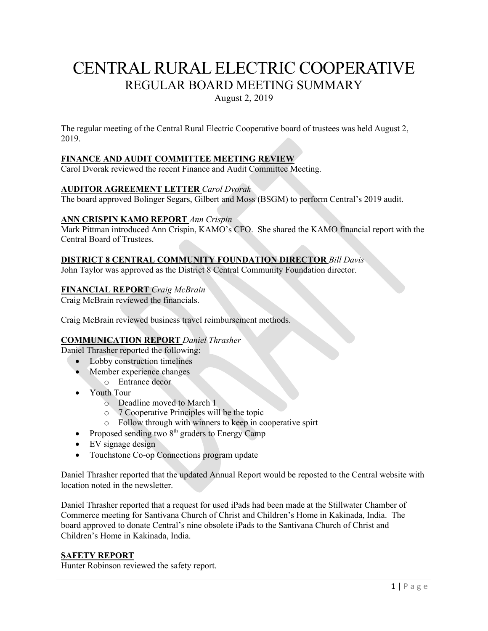# CENTRAL RURAL ELECTRIC COOPERATIVE REGULAR BOARD MEETING SUMMARY

August 2, 2019

The regular meeting of the Central Rural Electric Cooperative board of trustees was held August 2, 2019.

# **FINANCE AND AUDIT COMMITTEE MEETING REVIEW**

Carol Dvorak reviewed the recent Finance and Audit Committee Meeting.

## **AUDITOR AGREEMENT LETTER** *Carol Dvorak*

The board approved Bolinger Segars, Gilbert and Moss (BSGM) to perform Central's 2019 audit.

#### **ANN CRISPIN KAMO REPORT** *Ann Crispin*

Mark Pittman introduced Ann Crispin, KAMO's CFO. She shared the KAMO financial report with the Central Board of Trustees.

#### **DISTRICT 8 CENTRAL COMMUNITY FOUNDATION DIRECTOR** *Bill Davis*

John Taylor was approved as the District 8 Central Community Foundation director.

#### **FINANCIAL REPORT** *Craig McBrain*

Craig McBrain reviewed the financials.

Craig McBrain reviewed business travel reimbursement methods.

## **COMMUNICATION REPORT** *Daniel Thrasher*

Daniel Thrasher reported the following:

- Lobby construction timelines
- Member experience changes
	- o Entrance decor
- Youth Tour
	- o Deadline moved to March 1
	- o 7 Cooperative Principles will be the topic
	- o Follow through with winners to keep in cooperative spirt
- Proposed sending two  $8<sup>th</sup>$  graders to Energy Camp
- EV signage design
- Touchstone Co-op Connections program update

Daniel Thrasher reported that the updated Annual Report would be reposted to the Central website with location noted in the newsletter.

Daniel Thrasher reported that a request for used iPads had been made at the Stillwater Chamber of Commerce meeting for Santivana Church of Christ and Children's Home in Kakinada, India. The board approved to donate Central's nine obsolete iPads to the Santivana Church of Christ and Children's Home in Kakinada, India.

#### **SAFETY REPORT**

Hunter Robinson reviewed the safety report.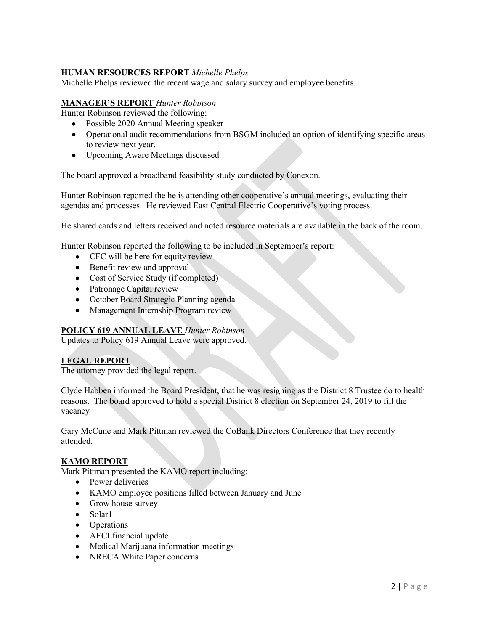# **HUMAN RESOURCES REPORT** *Michelle Phelps*

Michelle Phelps reviewed the recent wage and salary survey and employee benefits.

#### **MANAGER'S REPORT** *Hunter Robinson*

Hunter Robinson reviewed the following:

- Possible 2020 Annual Meeting speaker
- Operational audit recommendations from BSGM included an option of identifying specific areas to review next year.
- Upcoming Aware Meetings discussed

The board approved a broadband feasibility study conducted by Conexon.

Hunter Robinson reported the he is attending other cooperative's annual meetings, evaluating their agendas and processes. He reviewed East Central Electric Cooperative's voting process.

He shared cards and letters received and noted resource materials are available in the back of the room.

Hunter Robinson reported the following to be included in September's report:

- CFC will be here for equity review
- Benefit review and approval
- Cost of Service Study (if completed)
- Patronage Capital review
- October Board Strategic Planning agenda
- Management Internship Program review

#### **POLICY 619 ANNUAL LEAVE** *Hunter Robinson*

Updates to Policy 619 Annual Leave were approved.

#### **LEGAL REPORT**

The attorney provided the legal report.

Clyde Habben informed the Board President, that he was resigning as the District 8 Trustee do to health reasons. The board approved to hold a special District 8 election on September 24, 2019 to fill the vacancy

Gary McCune and Mark Pittman reviewed the CoBank Directors Conference that they recently attended.

#### **KAMO REPORT**

Mark Pittman presented the KAMO report including:

- Power deliveries
- KAMO employee positions filled between January and June
- Grow house survey
- Solar1
- Operations
- AECI financial update
- Medical Marijuana information meetings
- NRECA White Paper concerns